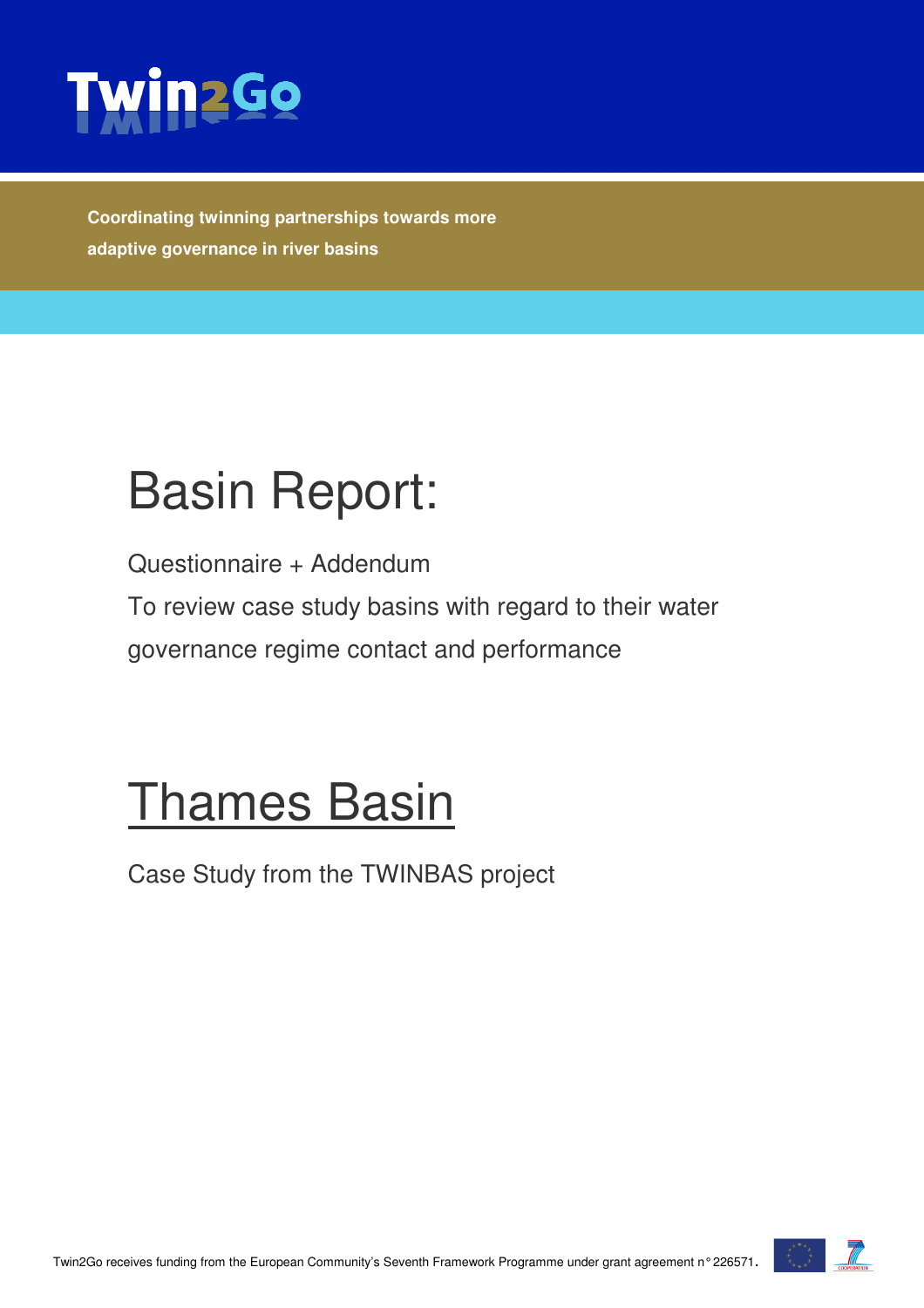

**Coordinating twinning partnerships towards more adaptive governance in river basins** 

# Basin Report:

Questionnaire + Addendum

To review case study basins with regard to their water

governance regime contact and performance

## Thames Basin

Case Study from the TWINBAS project

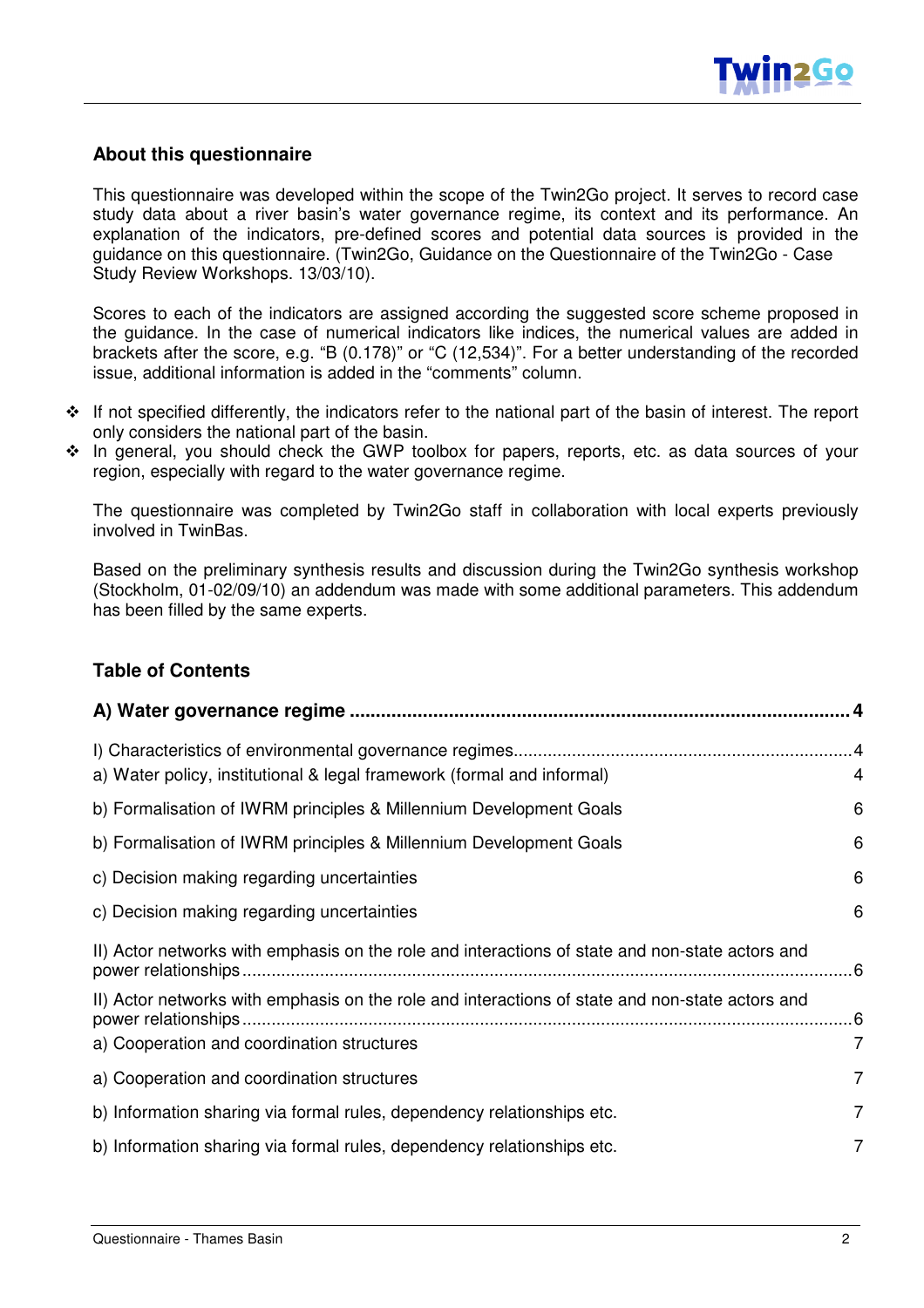#### **About this questionnaire**

This questionnaire was developed within the scope of the Twin2Go project. It serves to record case study data about a river basin's water governance regime, its context and its performance. An explanation of the indicators, pre-defined scores and potential data sources is provided in the guidance on this questionnaire. (Twin2Go, Guidance on the Questionnaire of the Twin2Go - Case Study Review Workshops. 13/03/10).

Scores to each of the indicators are assigned according the suggested score scheme proposed in the guidance. In the case of numerical indicators like indices, the numerical values are added in brackets after the score, e.g. "B (0.178)" or "C (12,534)". For a better understanding of the recorded issue, additional information is added in the "comments" column.

- \* If not specified differently, the indicators refer to the national part of the basin of interest. The report only considers the national part of the basin.
- \* In general, you should check the GWP toolbox for papers, reports, etc. as data sources of your region, especially with regard to the water governance regime.

The questionnaire was completed by Twin2Go staff in collaboration with local experts previously involved in TwinBas.

Based on the preliminary synthesis results and discussion during the Twin2Go synthesis workshop (Stockholm, 01-02/09/10) an addendum was made with some additional parameters. This addendum has been filled by the same experts.

#### **Table of Contents**

| a) Water policy, institutional & legal framework (formal and informal)                                                                        | 4              |
|-----------------------------------------------------------------------------------------------------------------------------------------------|----------------|
| b) Formalisation of IWRM principles & Millennium Development Goals                                                                            | 6              |
| b) Formalisation of IWRM principles & Millennium Development Goals                                                                            | 6              |
| c) Decision making regarding uncertainties                                                                                                    | 6              |
| c) Decision making regarding uncertainties                                                                                                    | 6              |
| II) Actor networks with emphasis on the role and interactions of state and non-state actors and                                               |                |
| II) Actor networks with emphasis on the role and interactions of state and non-state actors and<br>a) Cooperation and coordination structures | $\overline{7}$ |
| a) Cooperation and coordination structures                                                                                                    | $\overline{7}$ |
| b) Information sharing via formal rules, dependency relationships etc.                                                                        | $\overline{7}$ |
| b) Information sharing via formal rules, dependency relationships etc.                                                                        | 7              |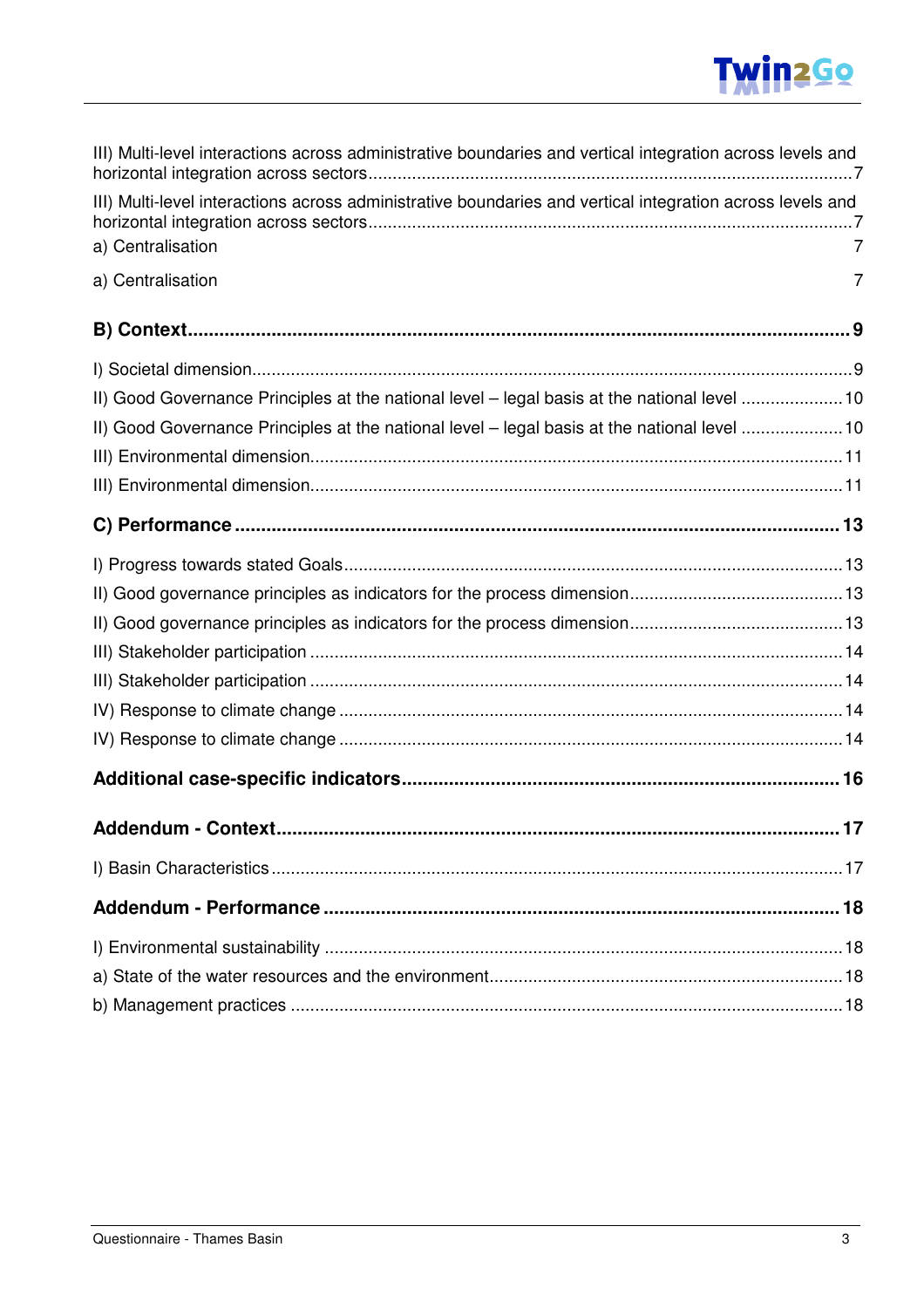## **Twin2Go**

| III) Multi-level interactions across administrative boundaries and vertical integration across levels and |   |
|-----------------------------------------------------------------------------------------------------------|---|
| III) Multi-level interactions across administrative boundaries and vertical integration across levels and |   |
| a) Centralisation                                                                                         | 7 |
| a) Centralisation                                                                                         | 7 |
|                                                                                                           |   |
|                                                                                                           |   |
| II) Good Governance Principles at the national level - legal basis at the national level 10               |   |
| II) Good Governance Principles at the national level - legal basis at the national level 10               |   |
|                                                                                                           |   |
|                                                                                                           |   |
|                                                                                                           |   |
|                                                                                                           |   |
|                                                                                                           |   |
|                                                                                                           |   |
|                                                                                                           |   |
|                                                                                                           |   |
|                                                                                                           |   |
|                                                                                                           |   |
|                                                                                                           |   |
|                                                                                                           |   |
|                                                                                                           |   |
|                                                                                                           |   |
|                                                                                                           |   |
|                                                                                                           |   |
|                                                                                                           |   |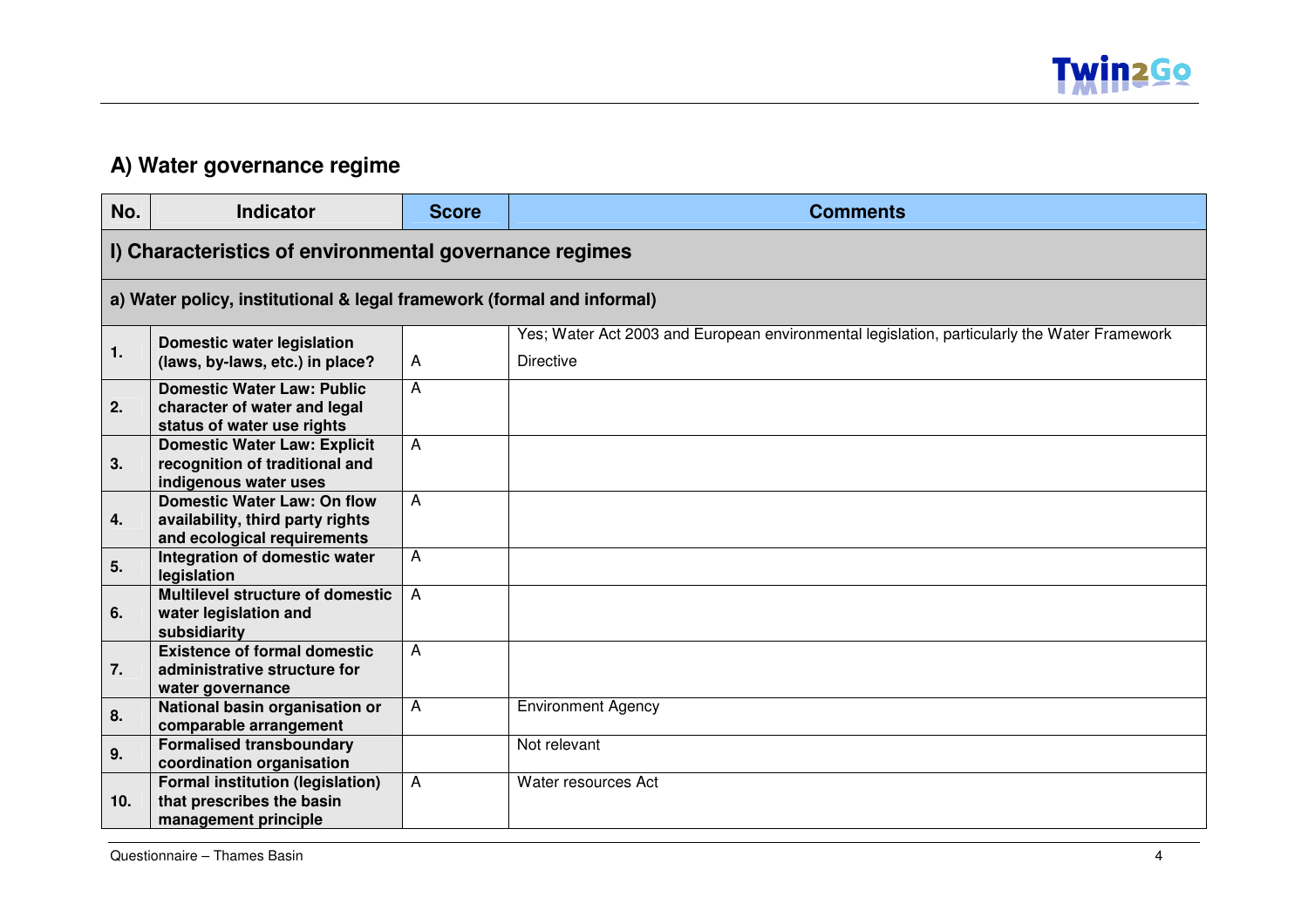

#### **A) Water governance regime**

| No. | <b>Indicator</b>                                                                                      | <b>Score</b>   | <b>Comments</b>                                                                                                  |
|-----|-------------------------------------------------------------------------------------------------------|----------------|------------------------------------------------------------------------------------------------------------------|
|     | I) Characteristics of environmental governance regimes                                                |                |                                                                                                                  |
|     | a) Water policy, institutional & legal framework (formal and informal)                                |                |                                                                                                                  |
| 1.  | <b>Domestic water legislation</b><br>(laws, by-laws, etc.) in place?                                  | A              | Yes; Water Act 2003 and European environmental legislation, particularly the Water Framework<br><b>Directive</b> |
| 2.  | <b>Domestic Water Law: Public</b><br>character of water and legal<br>status of water use rights       | A              |                                                                                                                  |
| 3.  | <b>Domestic Water Law: Explicit</b><br>recognition of traditional and<br>indigenous water uses        | A              |                                                                                                                  |
| 4.  | <b>Domestic Water Law: On flow</b><br>availability, third party rights<br>and ecological requirements | A              |                                                                                                                  |
| 5.  | Integration of domestic water<br>legislation                                                          | A              |                                                                                                                  |
| 6.  | <b>Multilevel structure of domestic</b><br>water legislation and<br>subsidiarity                      | $\overline{A}$ |                                                                                                                  |
| 7.  | <b>Existence of formal domestic</b><br>administrative structure for<br>water governance               | A              |                                                                                                                  |
| 8.  | National basin organisation or<br>comparable arrangement                                              | $\overline{A}$ | <b>Environment Agency</b>                                                                                        |
| 9.  | <b>Formalised transboundary</b><br>coordination organisation                                          |                | Not relevant                                                                                                     |
| 10. | <b>Formal institution (legislation)</b><br>that prescribes the basin<br>management principle          | A              | Water resources Act                                                                                              |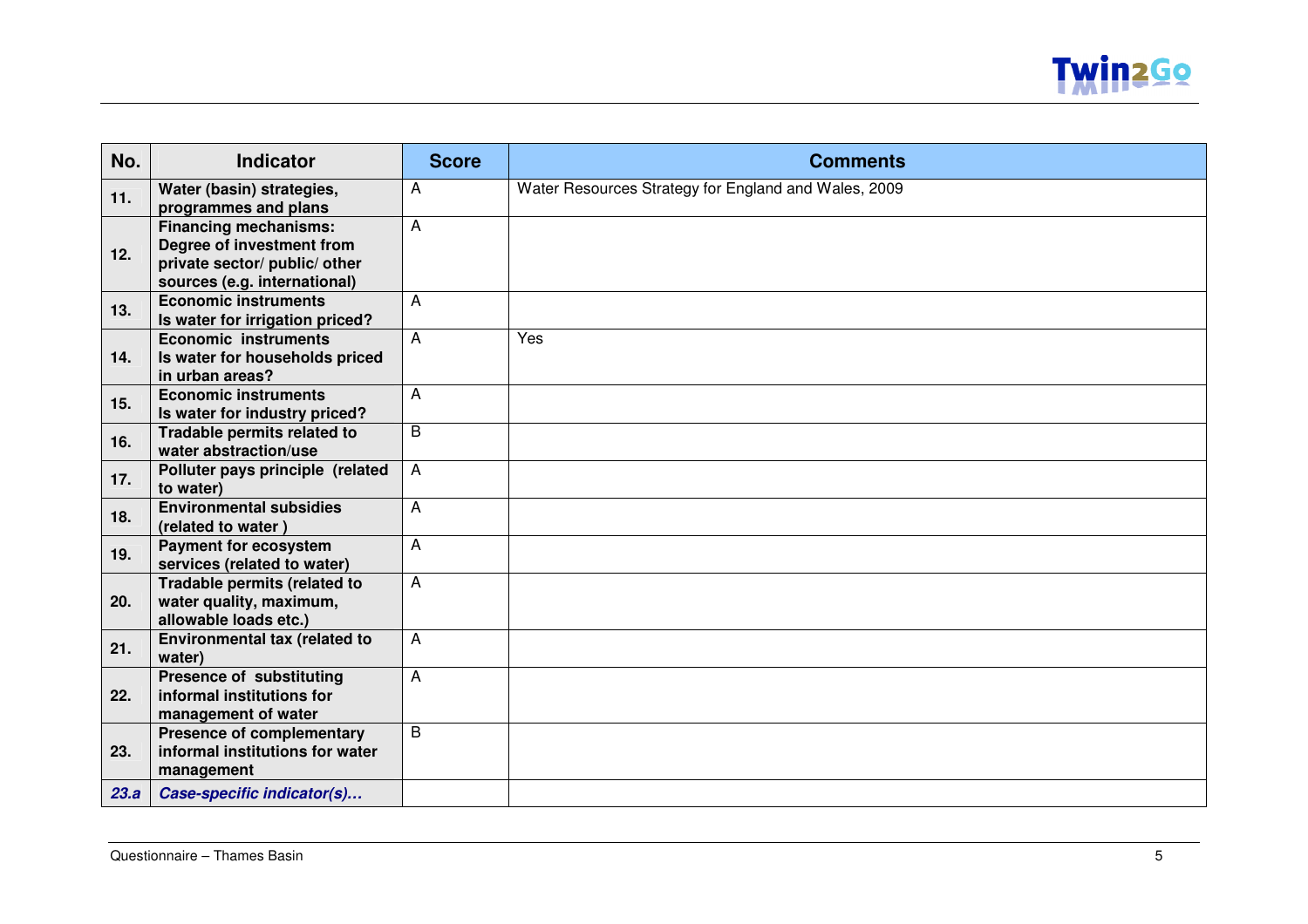

| No.  | <b>Indicator</b>                                                                                                           | <b>Score</b>   | <b>Comments</b>                                      |
|------|----------------------------------------------------------------------------------------------------------------------------|----------------|------------------------------------------------------|
| 11.  | Water (basin) strategies,<br>programmes and plans                                                                          | A              | Water Resources Strategy for England and Wales, 2009 |
| 12.  | <b>Financing mechanisms:</b><br>Degree of investment from<br>private sector/ public/ other<br>sources (e.g. international) | A              |                                                      |
| 13.  | <b>Economic instruments</b><br>Is water for irrigation priced?                                                             | A              |                                                      |
| 14.  | <b>Economic instruments</b><br>Is water for households priced<br>in urban areas?                                           | $\overline{A}$ | Yes                                                  |
| 15.  | <b>Economic instruments</b><br>Is water for industry priced?                                                               | Α              |                                                      |
| 16.  | Tradable permits related to<br>water abstraction/use                                                                       | B              |                                                      |
| 17.  | Polluter pays principle (related<br>to water)                                                                              | $\overline{A}$ |                                                      |
| 18.  | <b>Environmental subsidies</b><br>(related to water)                                                                       | A              |                                                      |
| 19.  | <b>Payment for ecosystem</b><br>services (related to water)                                                                | A              |                                                      |
| 20.  | Tradable permits (related to<br>water quality, maximum,<br>allowable loads etc.)                                           | A              |                                                      |
| 21.  | Environmental tax (related to<br>water)                                                                                    | A              |                                                      |
| 22.  | <b>Presence of substituting</b><br>informal institutions for<br>management of water                                        | A              |                                                      |
| 23.  | <b>Presence of complementary</b><br>informal institutions for water<br>management                                          | $\overline{B}$ |                                                      |
| 23.a | Case-specific indicator(s)                                                                                                 |                |                                                      |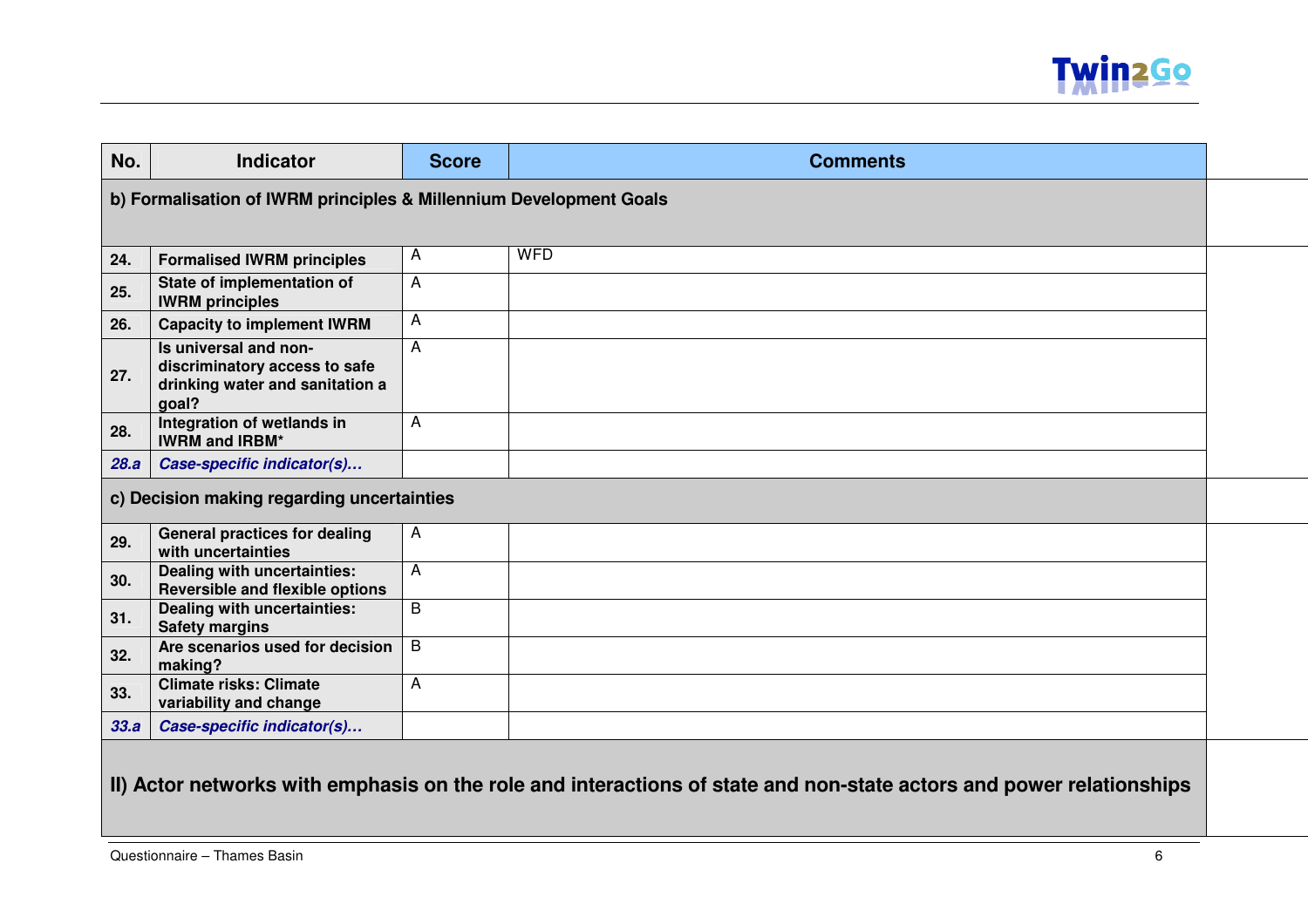

| No.                                                                | <b>Indicator</b>                                                                                   | <b>Score</b> | <b>Comments</b> |  |  |
|--------------------------------------------------------------------|----------------------------------------------------------------------------------------------------|--------------|-----------------|--|--|
| b) Formalisation of IWRM principles & Millennium Development Goals |                                                                                                    |              |                 |  |  |
|                                                                    |                                                                                                    |              |                 |  |  |
| 24.                                                                | <b>Formalised IWRM principles</b>                                                                  | $\mathsf{A}$ | <b>WFD</b>      |  |  |
| 25.                                                                | State of implementation of<br><b>IWRM</b> principles                                               | A            |                 |  |  |
| 26.                                                                | <b>Capacity to implement IWRM</b>                                                                  | A            |                 |  |  |
| 27.                                                                | Is universal and non-<br>discriminatory access to safe<br>drinking water and sanitation a<br>goal? | A            |                 |  |  |
| 28.                                                                | Integration of wetlands in<br><b>IWRM and IRBM*</b>                                                | A            |                 |  |  |
| 28.a                                                               | Case-specific indicator(s)                                                                         |              |                 |  |  |
|                                                                    | c) Decision making regarding uncertainties                                                         |              |                 |  |  |
| 29.                                                                | <b>General practices for dealing</b><br>with uncertainties                                         | $\mathsf{A}$ |                 |  |  |
| 30.                                                                | Dealing with uncertainties:<br>Reversible and flexible options                                     | A            |                 |  |  |
| 31.                                                                | Dealing with uncertainties:<br><b>Safety margins</b>                                               | B            |                 |  |  |
| 32.                                                                | Are scenarios used for decision<br>making?                                                         | B            |                 |  |  |
| 33.                                                                | <b>Climate risks: Climate</b><br>variability and change                                            | A            |                 |  |  |
| 33.a                                                               | Case-specific indicator(s)                                                                         |              |                 |  |  |
|                                                                    |                                                                                                    |              |                 |  |  |

### **II) Actor networks with emphasis on the role and interactions of state and non-state actors and power relationships**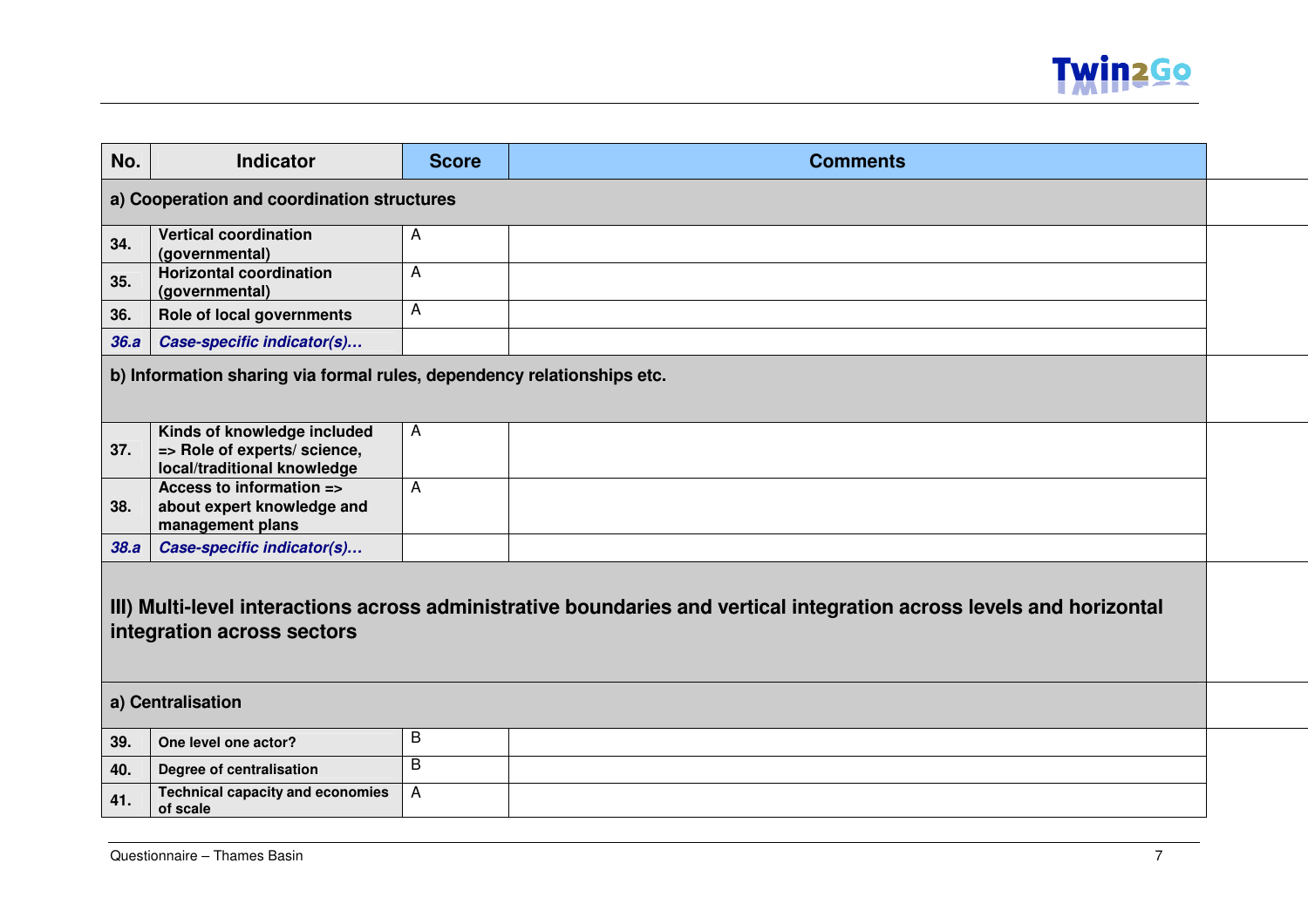

| No.                                                                                                                                                | <b>Indicator</b>                                                                           | <b>Score</b> | <b>Comments</b> |  |  |
|----------------------------------------------------------------------------------------------------------------------------------------------------|--------------------------------------------------------------------------------------------|--------------|-----------------|--|--|
|                                                                                                                                                    | a) Cooperation and coordination structures                                                 |              |                 |  |  |
| 34.                                                                                                                                                | <b>Vertical coordination</b><br>(governmental)                                             | A            |                 |  |  |
| 35.                                                                                                                                                | <b>Horizontal coordination</b><br>(governmental)                                           | A            |                 |  |  |
| 36.                                                                                                                                                | Role of local governments                                                                  | A            |                 |  |  |
| 36.a                                                                                                                                               | Case-specific indicator(s)                                                                 |              |                 |  |  |
|                                                                                                                                                    | b) Information sharing via formal rules, dependency relationships etc.                     |              |                 |  |  |
| 37.                                                                                                                                                | Kinds of knowledge included<br>=> Role of experts/ science,<br>local/traditional knowledge | $\mathsf{A}$ |                 |  |  |
| 38.                                                                                                                                                | Access to information =><br>about expert knowledge and<br>management plans                 | A            |                 |  |  |
| 38.a                                                                                                                                               | Case-specific indicator(s)                                                                 |              |                 |  |  |
| III) Multi-level interactions across administrative boundaries and vertical integration across levels and horizontal<br>integration across sectors |                                                                                            |              |                 |  |  |
|                                                                                                                                                    | a) Centralisation                                                                          |              |                 |  |  |
| 39.                                                                                                                                                | One level one actor?                                                                       | B            |                 |  |  |
| 40.                                                                                                                                                | Degree of centralisation                                                                   | B            |                 |  |  |
| 41.                                                                                                                                                | <b>Technical capacity and economies</b><br>of scale                                        | A            |                 |  |  |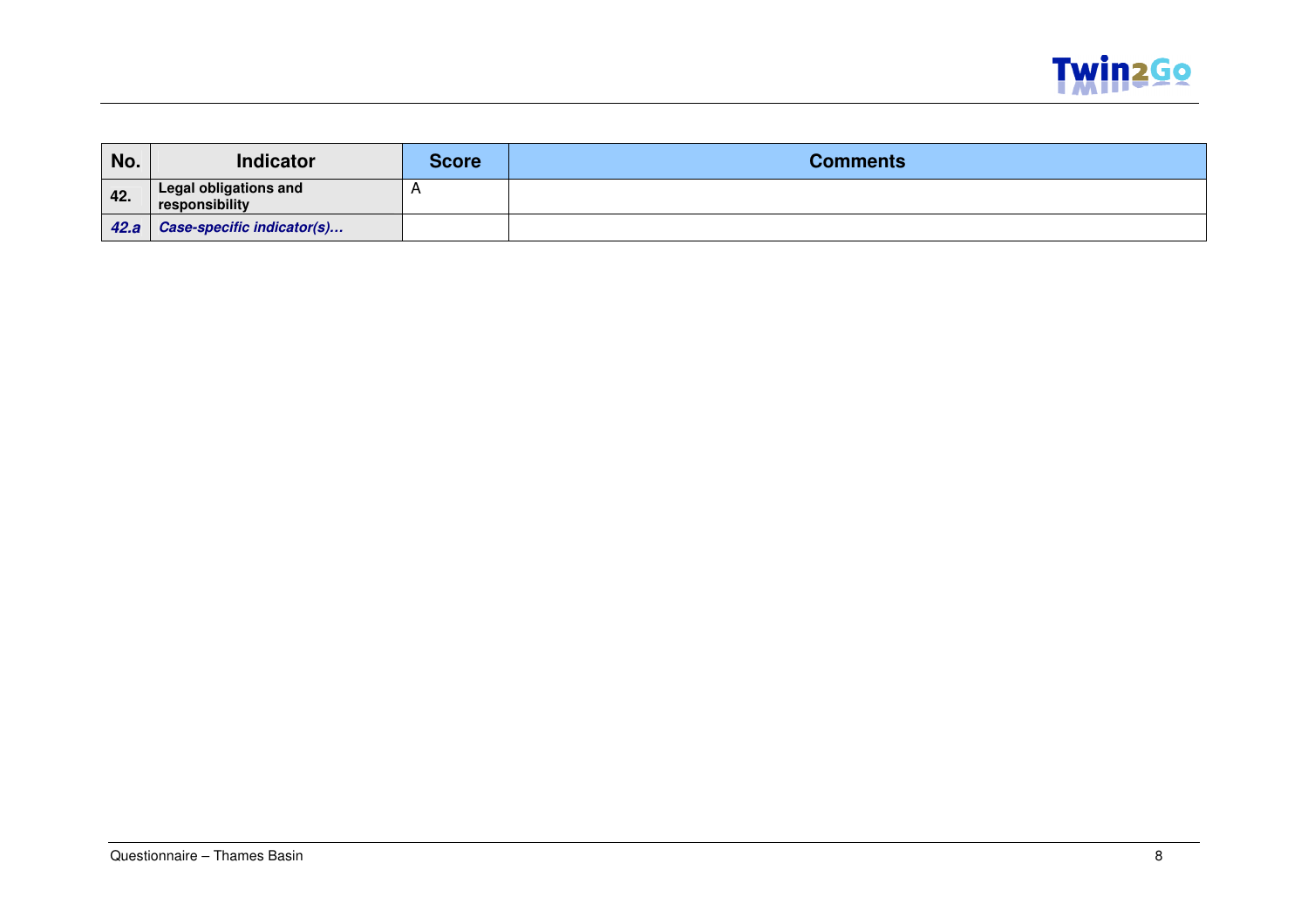

| No.  | <b>Indicator</b>                               | Score | <b>Comments</b> |
|------|------------------------------------------------|-------|-----------------|
| 42.  | <b>Legal obligations and</b><br>responsibility |       |                 |
| 42.a | Case-specific indicator(s)                     |       |                 |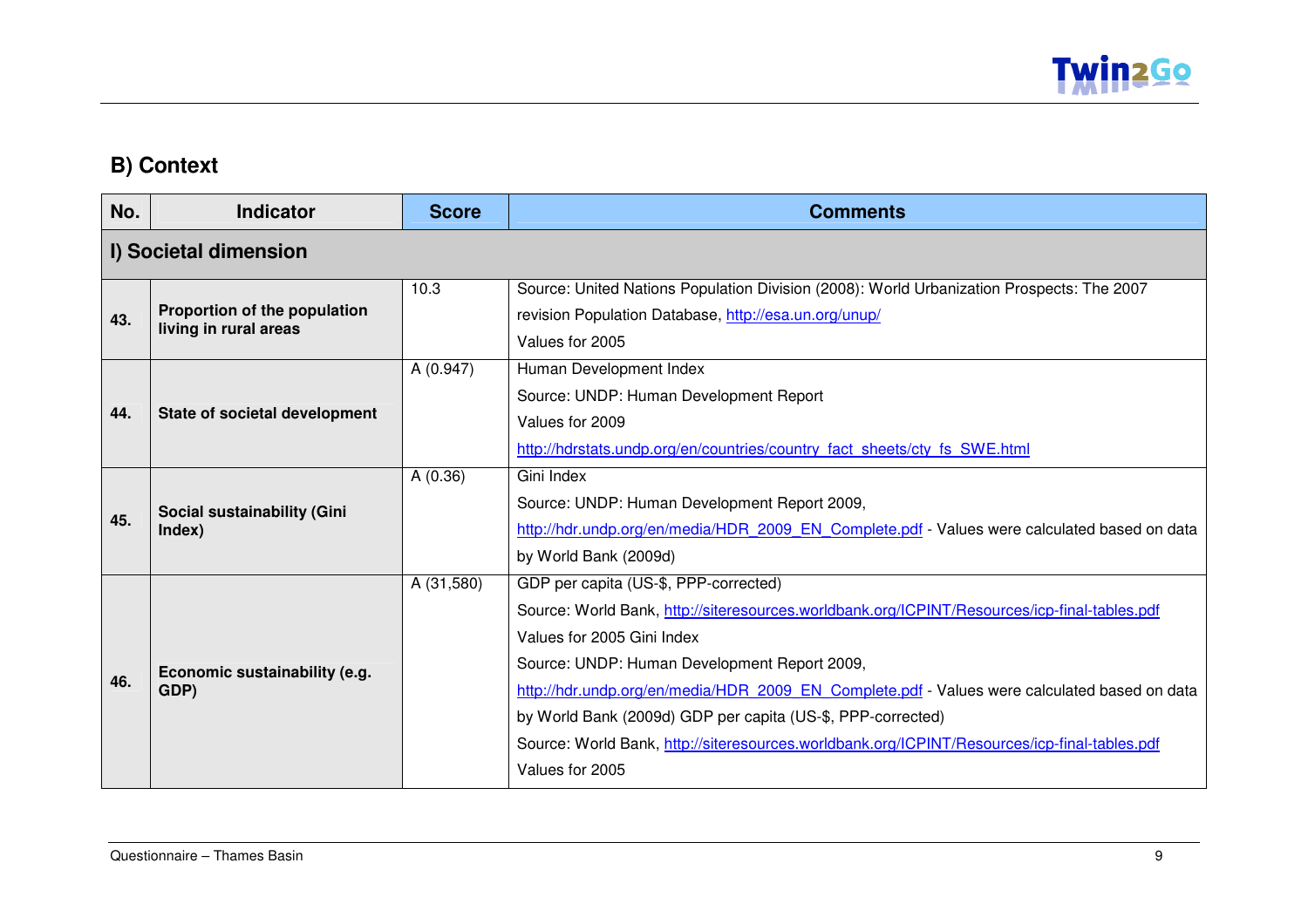

#### **B) Context**

| No. | <b>Indicator</b>                                      | <b>Score</b> | <b>Comments</b>                                                                                                                                                                                                                                                                                                                                                                                                                                                                                       |  |
|-----|-------------------------------------------------------|--------------|-------------------------------------------------------------------------------------------------------------------------------------------------------------------------------------------------------------------------------------------------------------------------------------------------------------------------------------------------------------------------------------------------------------------------------------------------------------------------------------------------------|--|
|     | I) Societal dimension                                 |              |                                                                                                                                                                                                                                                                                                                                                                                                                                                                                                       |  |
| 43. | Proportion of the population<br>living in rural areas | 10.3         | Source: United Nations Population Division (2008): World Urbanization Prospects: The 2007<br>revision Population Database, http://esa.un.org/unup/<br>Values for 2005                                                                                                                                                                                                                                                                                                                                 |  |
| 44. | State of societal development                         | A (0.947)    | Human Development Index<br>Source: UNDP: Human Development Report<br>Values for 2009<br>http://hdrstats.undp.org/en/countries/country_fact_sheets/cty_fs_SWE.html                                                                                                                                                                                                                                                                                                                                     |  |
| 45. | Social sustainability (Gini<br>Index)                 | A(0.36)      | Gini Index<br>Source: UNDP: Human Development Report 2009,<br>http://hdr.undp.org/en/media/HDR 2009 EN Complete.pdf - Values were calculated based on data<br>by World Bank (2009d)                                                                                                                                                                                                                                                                                                                   |  |
| 46. | Economic sustainability (e.g.<br>GDP)                 | A (31,580)   | GDP per capita (US-\$, PPP-corrected)<br>Source: World Bank, http://siteresources.worldbank.org/ICPINT/Resources/icp-final-tables.pdf<br>Values for 2005 Gini Index<br>Source: UNDP: Human Development Report 2009,<br>http://hdr.undp.org/en/media/HDR 2009 EN Complete.pdf - Values were calculated based on data<br>by World Bank (2009d) GDP per capita (US-\$, PPP-corrected)<br>Source: World Bank, http://siteresources.worldbank.org/ICPINT/Resources/icp-final-tables.pdf<br>Values for 2005 |  |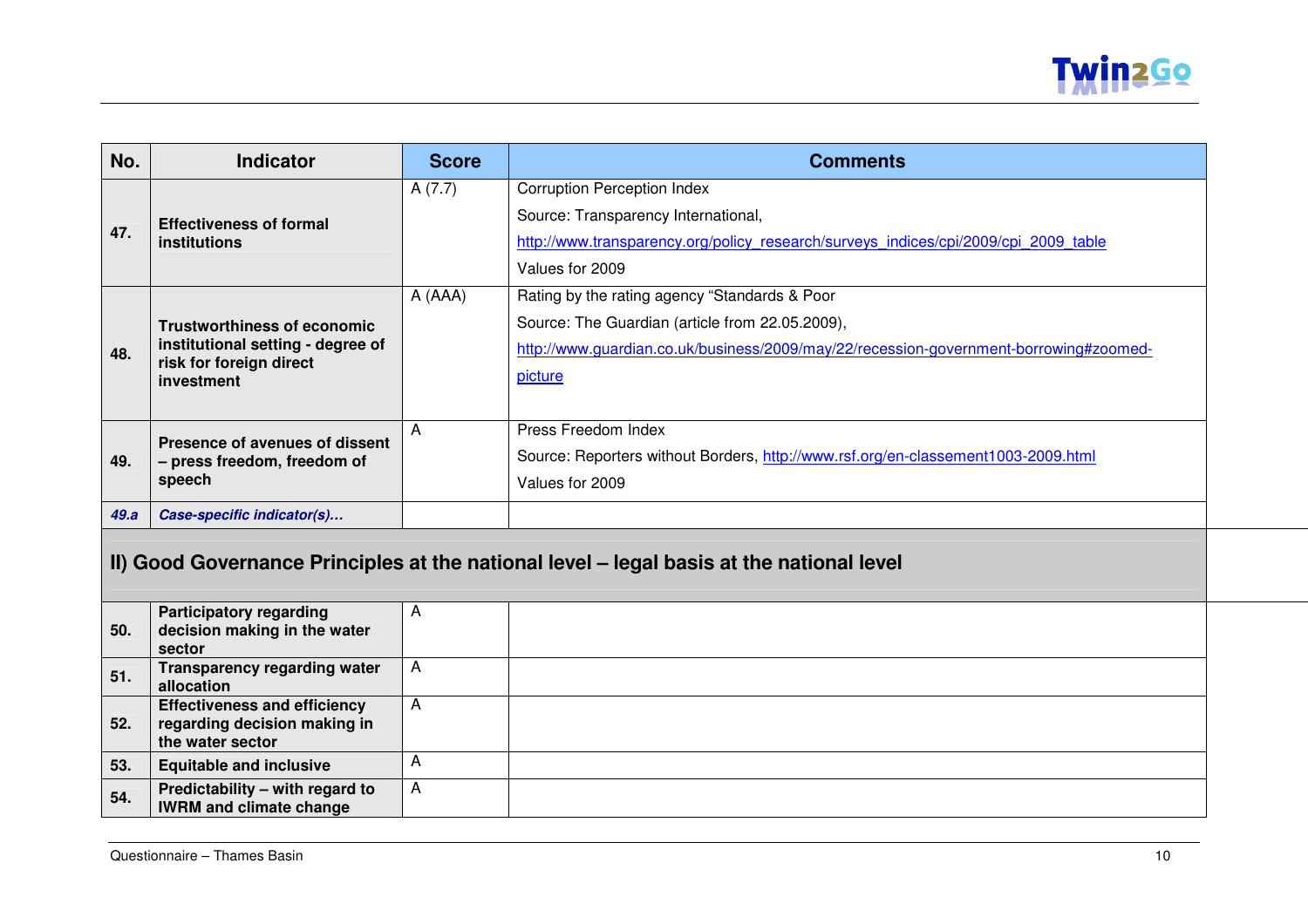

| No.                                                                                      | Indicator                                                                               | <b>Score</b> | <b>Comments</b>                                                                                                                                                                           |
|------------------------------------------------------------------------------------------|-----------------------------------------------------------------------------------------|--------------|-------------------------------------------------------------------------------------------------------------------------------------------------------------------------------------------|
|                                                                                          | <b>Effectiveness of formal</b>                                                          | A(7.7)       | <b>Corruption Perception Index</b><br>Source: Transparency International,                                                                                                                 |
| 47.                                                                                      | <b>institutions</b>                                                                     |              | http://www.transparency.org/policy research/surveys indices/cpi/2009/cpi 2009 table<br>Values for 2009                                                                                    |
|                                                                                          | <b>Trustworthiness of economic</b><br>institutional setting - degree of                 | A (AAA)      | Rating by the rating agency "Standards & Poor<br>Source: The Guardian (article from 22.05.2009),<br>http://www.quardian.co.uk/business/2009/may/22/recession-government-borrowing#zoomed- |
| 48.                                                                                      | risk for foreign direct<br>investment                                                   |              | picture                                                                                                                                                                                   |
| 49.                                                                                      | Presence of avenues of dissent<br>- press freedom, freedom of<br>speech                 | A            | Press Freedom Index<br>Source: Reporters without Borders, http://www.rsf.org/en-classement1003-2009.html<br>Values for 2009                                                               |
| 49.a                                                                                     | Case-specific indicator(s)                                                              |              |                                                                                                                                                                                           |
| II) Good Governance Principles at the national level - legal basis at the national level |                                                                                         |              |                                                                                                                                                                                           |
| 50.                                                                                      | <b>Participatory regarding</b><br>decision making in the water<br>sector                | A            |                                                                                                                                                                                           |
| 51.                                                                                      | Transparency regarding water<br>allocation                                              | A            |                                                                                                                                                                                           |
| 52.                                                                                      | <b>Effectiveness and efficiency</b><br>regarding decision making in<br>the water sector | A            |                                                                                                                                                                                           |
| 53.                                                                                      | <b>Equitable and inclusive</b>                                                          | Α            |                                                                                                                                                                                           |
| 54.                                                                                      | Predictability - with regard to<br><b>IWRM and climate change</b>                       | A            |                                                                                                                                                                                           |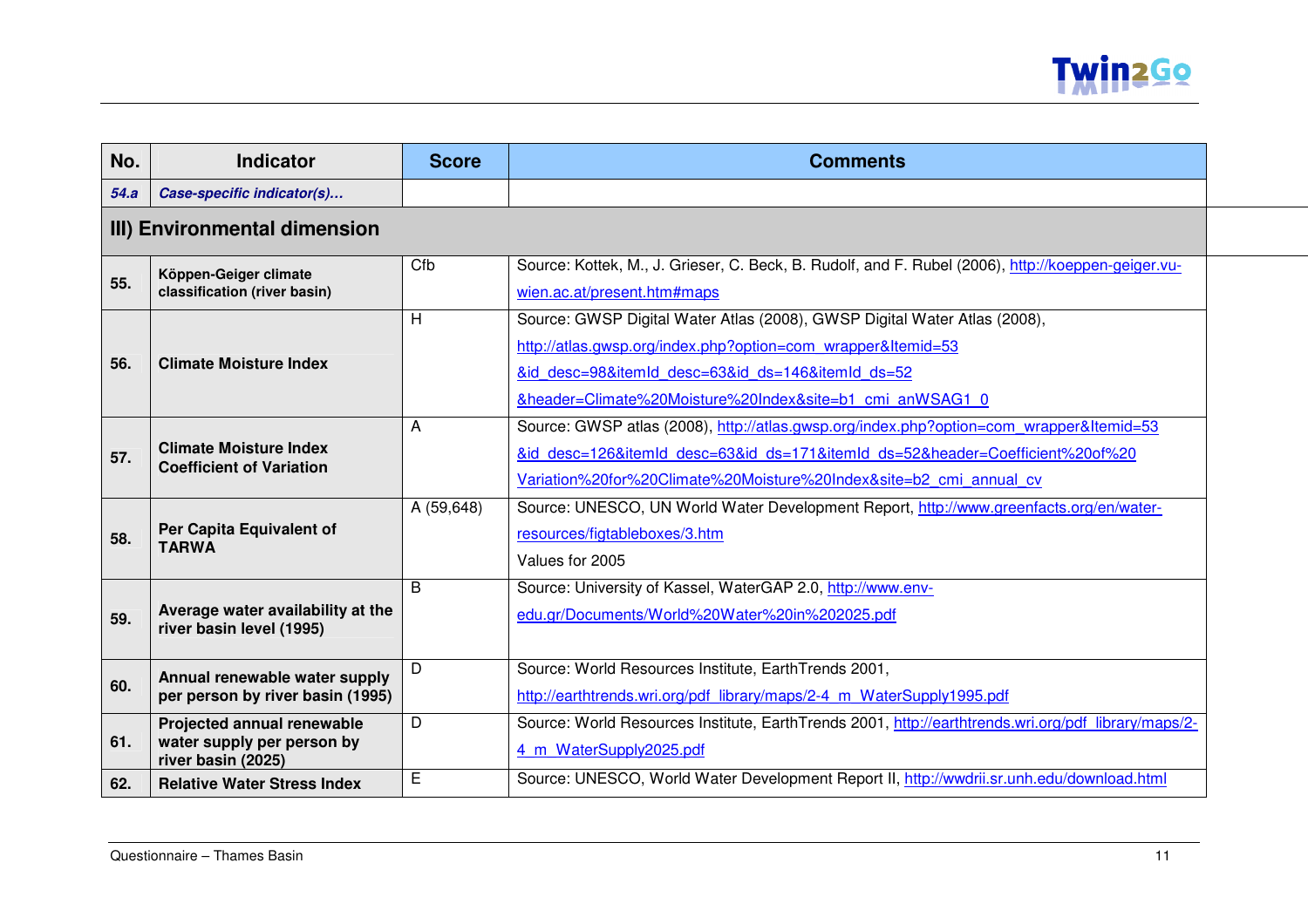

| No.  | <b>Indicator</b>                                                               | <b>Score</b> | <b>Comments</b>                                                                                                                                                                                                                                            |  |  |
|------|--------------------------------------------------------------------------------|--------------|------------------------------------------------------------------------------------------------------------------------------------------------------------------------------------------------------------------------------------------------------------|--|--|
| 54.a | Case-specific indicator(s)                                                     |              |                                                                                                                                                                                                                                                            |  |  |
|      | III) Environmental dimension                                                   |              |                                                                                                                                                                                                                                                            |  |  |
| 55.  | Köppen-Geiger climate<br>classification (river basin)                          | Cfb          | Source: Kottek, M., J. Grieser, C. Beck, B. Rudolf, and F. Rubel (2006), http://koeppen-geiger.vu-<br>wien.ac.at/present.htm#maps                                                                                                                          |  |  |
| 56.  | <b>Climate Moisture Index</b>                                                  | H            | Source: GWSP Digital Water Atlas (2008), GWSP Digital Water Atlas (2008),<br>http://atlas.gwsp.org/index.php?option=com wrapper&Itemid=53<br>&id desc=98&itemId desc=63&id ds=146&itemId ds=52<br>&header=Climate%20Moisture%20Index&site=b1 cmi anWSAG1 0 |  |  |
| 57.  | <b>Climate Moisture Index</b><br><b>Coefficient of Variation</b>               | A            | Source: GWSP atlas (2008), http://atlas.gwsp.org/index.php?option=com_wrapper&Itemid=53<br>&id desc=126&itemId desc=63&id ds=171&itemId ds=52&header=Coefficient%20of%20<br>Variation%20for%20Climate%20Moisture%20Index&site=b2 cmi annual cv             |  |  |
| 58.  | Per Capita Equivalent of<br><b>TARWA</b>                                       | A (59,648)   | Source: UNESCO, UN World Water Development Report, http://www.greenfacts.org/en/water-<br>resources/figtableboxes/3.htm<br>Values for 2005                                                                                                                 |  |  |
| 59.  | Average water availability at the<br>river basin level (1995)                  | B            | Source: University of Kassel, WaterGAP 2.0, http://www.env-<br>edu.gr/Documents/World%20Water%20in%202025.pdf                                                                                                                                              |  |  |
| 60.  | Annual renewable water supply<br>per person by river basin (1995)              | D            | Source: World Resources Institute, EarthTrends 2001,<br>http://earthtrends.wri.org/pdf library/maps/2-4 m WaterSupply1995.pdf                                                                                                                              |  |  |
| 61.  | Projected annual renewable<br>water supply per person by<br>river basin (2025) | D            | Source: World Resources Institute, EarthTrends 2001, http://earthtrends.wri.org/pdf library/maps/2-<br>4 m WaterSupply2025.pdf                                                                                                                             |  |  |
| 62.  | <b>Relative Water Stress Index</b>                                             | E            | Source: UNESCO, World Water Development Report II, http://wwdrii.sr.unh.edu/download.html                                                                                                                                                                  |  |  |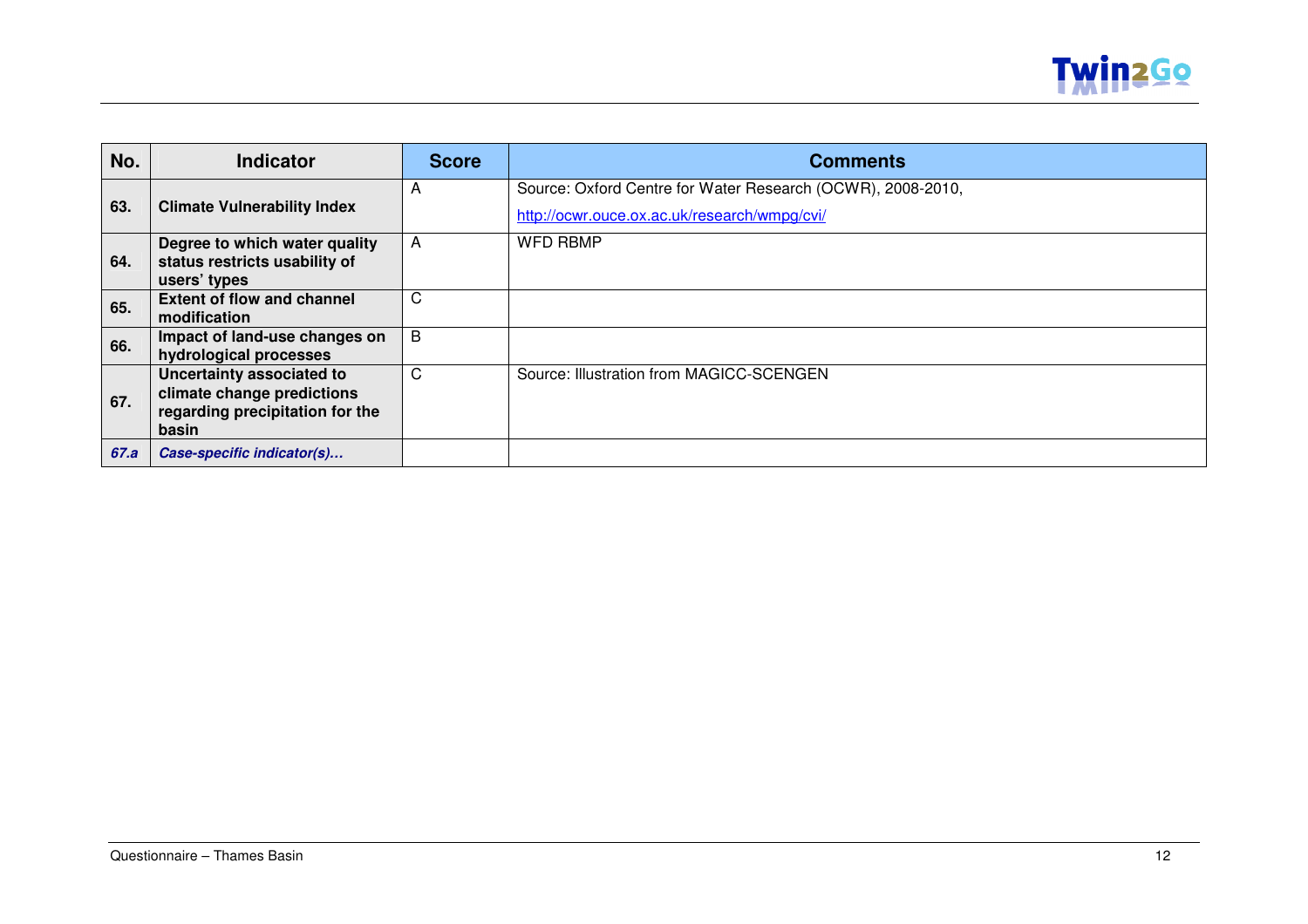

| No.  | <b>Indicator</b>                                                                                    | <b>Score</b> | <b>Comments</b>                                                                                             |
|------|-----------------------------------------------------------------------------------------------------|--------------|-------------------------------------------------------------------------------------------------------------|
| 63.  | <b>Climate Vulnerability Index</b>                                                                  | A            | Source: Oxford Centre for Water Research (OCWR), 2008-2010,<br>http://ocwr.ouce.ox.ac.uk/research/wmpg/cvi/ |
| 64.  | Degree to which water quality<br>status restricts usability of<br>users' types                      | A            | <b>WFD RBMP</b>                                                                                             |
| 65.  | <b>Extent of flow and channel</b><br>modification                                                   | C            |                                                                                                             |
| 66.  | Impact of land-use changes on<br>hydrological processes                                             | B            |                                                                                                             |
| 67.  | Uncertainty associated to<br>climate change predictions<br>regarding precipitation for the<br>basin | C            | Source: Illustration from MAGICC-SCENGEN                                                                    |
| 67.a | Case-specific indicator(s)                                                                          |              |                                                                                                             |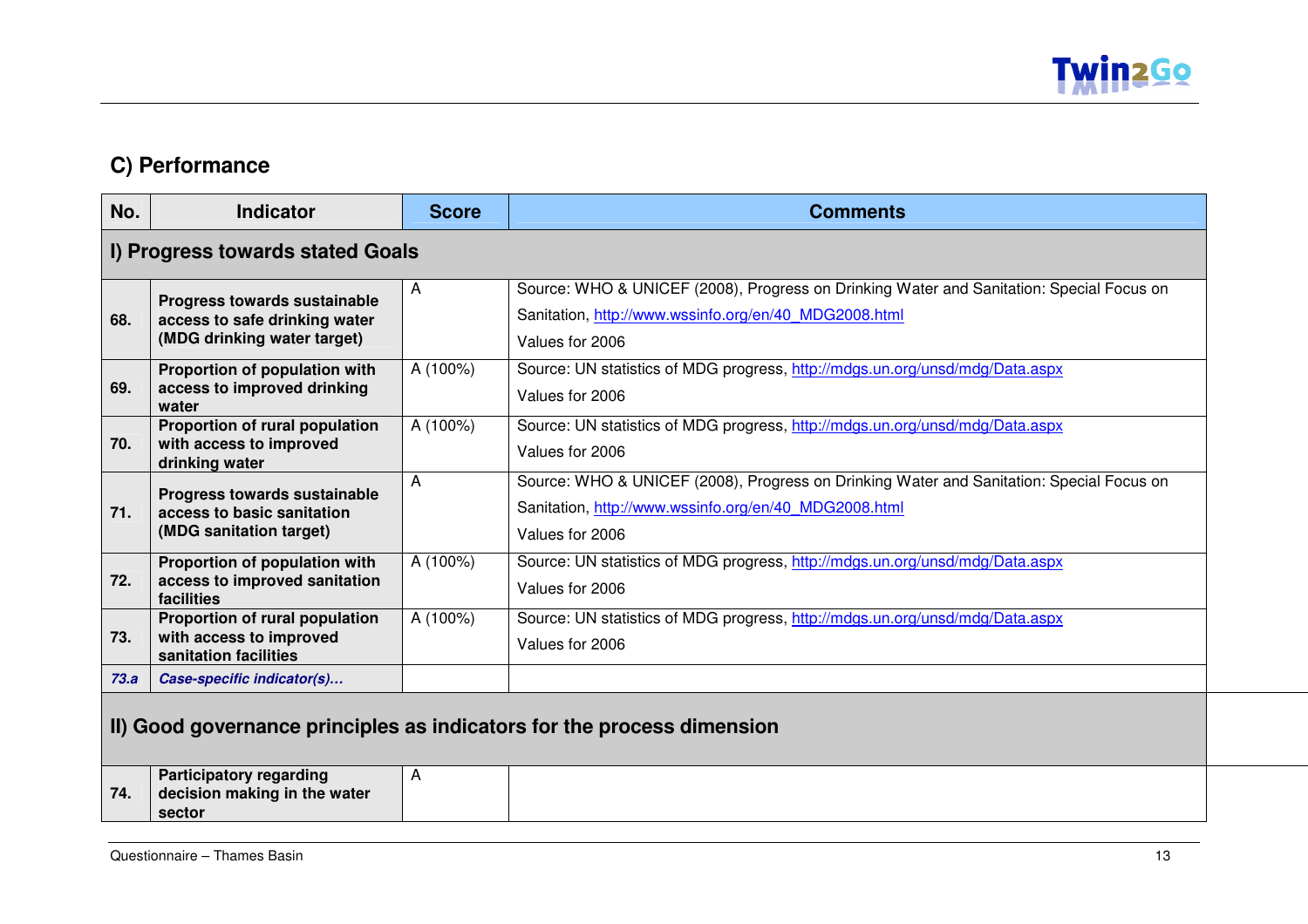

#### **C) Performance**

| No.  | <b>Indicator</b>                                                                             | <b>Score</b> | <b>Comments</b>                                                                                                                                                      |  |
|------|----------------------------------------------------------------------------------------------|--------------|----------------------------------------------------------------------------------------------------------------------------------------------------------------------|--|
|      | I) Progress towards stated Goals                                                             |              |                                                                                                                                                                      |  |
| 68.  | Progress towards sustainable<br>access to safe drinking water<br>(MDG drinking water target) | A            | Source: WHO & UNICEF (2008), Progress on Drinking Water and Sanitation: Special Focus on<br>Sanitation, http://www.wssinfo.org/en/40 MDG2008.html<br>Values for 2006 |  |
| 69.  | Proportion of population with<br>access to improved drinking<br>water                        | A (100%)     | Source: UN statistics of MDG progress, http://mdgs.un.org/unsd/mdg/Data.aspx<br>Values for 2006                                                                      |  |
| 70.  | Proportion of rural population<br>with access to improved<br>drinking water                  | A (100%)     | Source: UN statistics of MDG progress, http://mdgs.un.org/unsd/mdg/Data.aspx<br>Values for 2006                                                                      |  |
| 71.  | Progress towards sustainable<br>access to basic sanitation<br>(MDG sanitation target)        | A            | Source: WHO & UNICEF (2008), Progress on Drinking Water and Sanitation: Special Focus on<br>Sanitation, http://www.wssinfo.org/en/40 MDG2008.html<br>Values for 2006 |  |
| 72.  | Proportion of population with<br>access to improved sanitation<br>facilities                 | A (100%)     | Source: UN statistics of MDG progress, http://mdgs.un.org/unsd/mdg/Data.aspx<br>Values for 2006                                                                      |  |
| 73.  | Proportion of rural population<br>with access to improved<br>sanitation facilities           | A (100%)     | Source: UN statistics of MDG progress, http://mdgs.un.org/unsd/mdg/Data.aspx<br>Values for 2006                                                                      |  |
| 73.a | Case-specific indicator(s)                                                                   |              |                                                                                                                                                                      |  |
|      | II) Good governance principles as indicators for the process dimension                       |              |                                                                                                                                                                      |  |
| 74.  | <b>Participatory regarding</b><br>decision making in the water<br>sector                     | A            |                                                                                                                                                                      |  |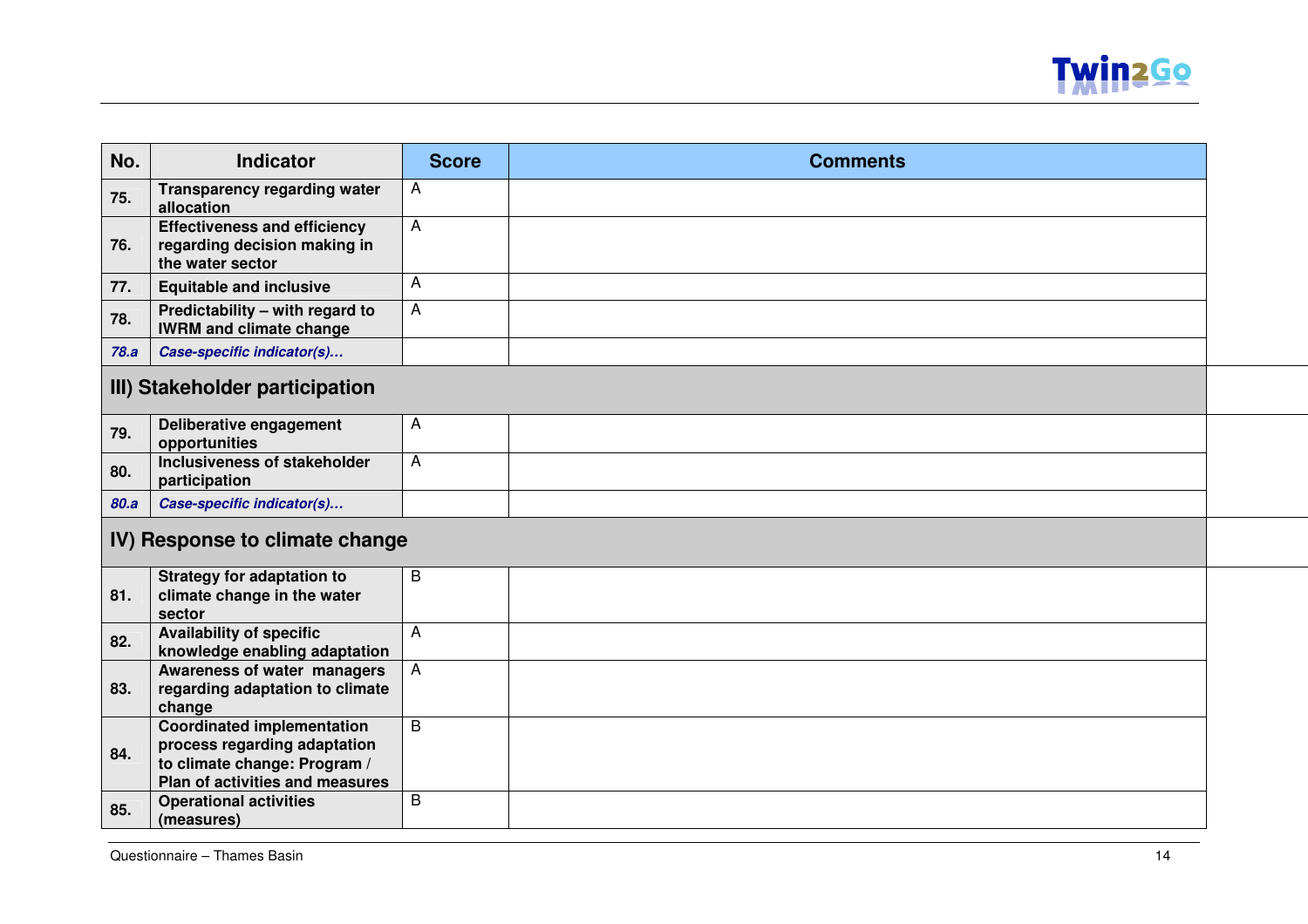

| No.                            | Indicator                                                                                                                            | <b>Score</b>   | <b>Comments</b> |  |  |
|--------------------------------|--------------------------------------------------------------------------------------------------------------------------------------|----------------|-----------------|--|--|
| 75.                            | <b>Transparency regarding water</b><br>allocation                                                                                    | A              |                 |  |  |
| 76.                            | <b>Effectiveness and efficiency</b><br>regarding decision making in<br>the water sector                                              | A              |                 |  |  |
| 77.                            | <b>Equitable and inclusive</b>                                                                                                       | A              |                 |  |  |
| 78.                            | Predictability - with regard to<br><b>IWRM and climate change</b>                                                                    | A              |                 |  |  |
| 78.a                           | Case-specific indicator(s)                                                                                                           |                |                 |  |  |
| III) Stakeholder participation |                                                                                                                                      |                |                 |  |  |
| 79.                            | Deliberative engagement<br>opportunities                                                                                             | A              |                 |  |  |
| 80.                            | Inclusiveness of stakeholder<br>participation                                                                                        | A              |                 |  |  |
| 80.a                           | Case-specific indicator(s)                                                                                                           |                |                 |  |  |
| IV) Response to climate change |                                                                                                                                      |                |                 |  |  |
| 81.                            | <b>Strategy for adaptation to</b><br>climate change in the water<br>sector                                                           | B              |                 |  |  |
| 82.                            | <b>Availability of specific</b><br>knowledge enabling adaptation                                                                     | A              |                 |  |  |
| 83.                            | Awareness of water managers<br>regarding adaptation to climate<br>change                                                             | Α              |                 |  |  |
| 84.                            | <b>Coordinated implementation</b><br>process regarding adaptation<br>to climate change: Program /<br>Plan of activities and measures | $\overline{B}$ |                 |  |  |
| 85.                            | <b>Operational activities</b><br>(measures)                                                                                          | B              |                 |  |  |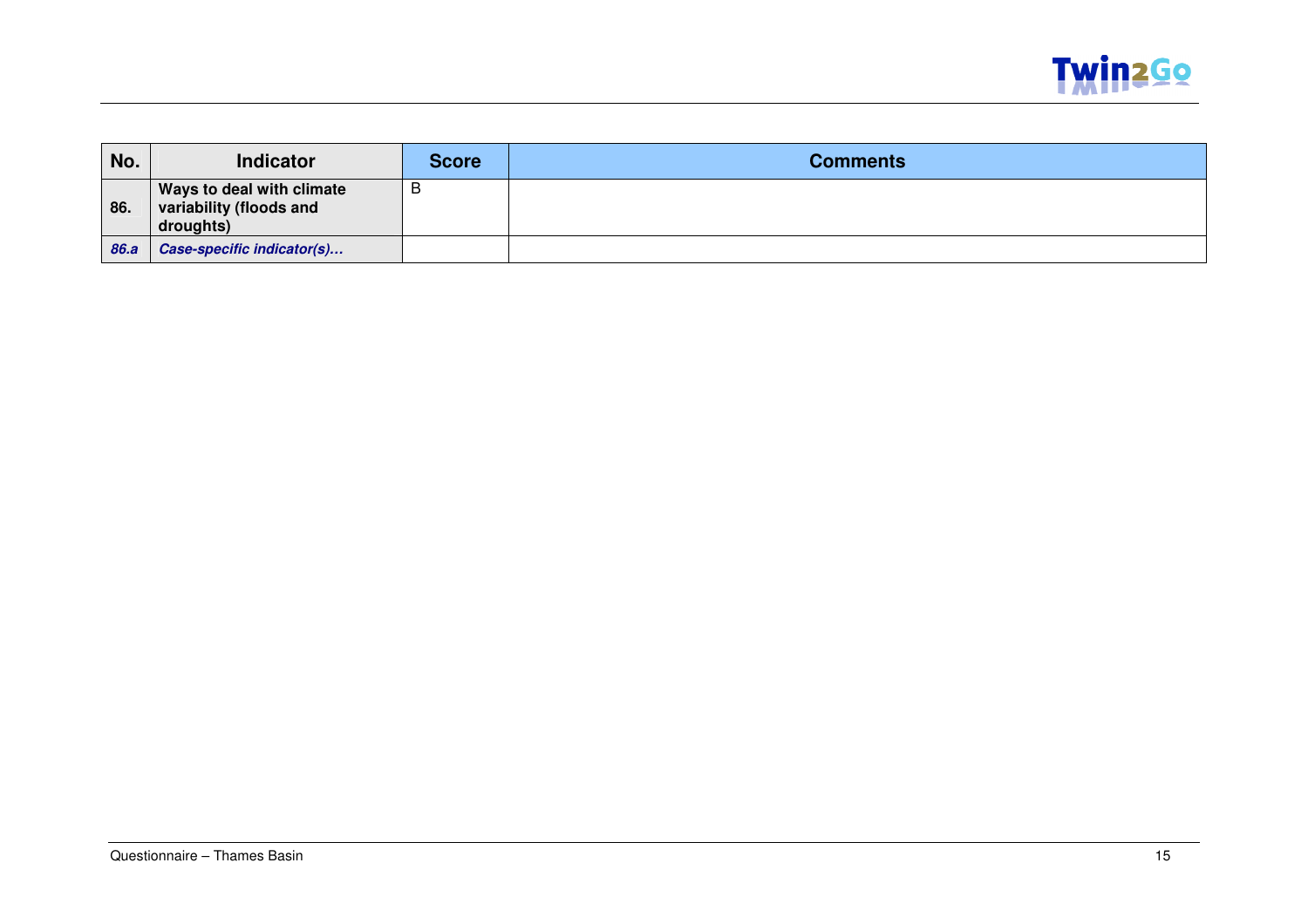

| No.  | <b>Indicator</b>                                                  | <b>Score</b> | <b>Comments</b> |
|------|-------------------------------------------------------------------|--------------|-----------------|
| 86.  | Ways to deal with climate<br>variability (floods and<br>droughts) | в            |                 |
| 86.a | Case-specific indicator(s)                                        |              |                 |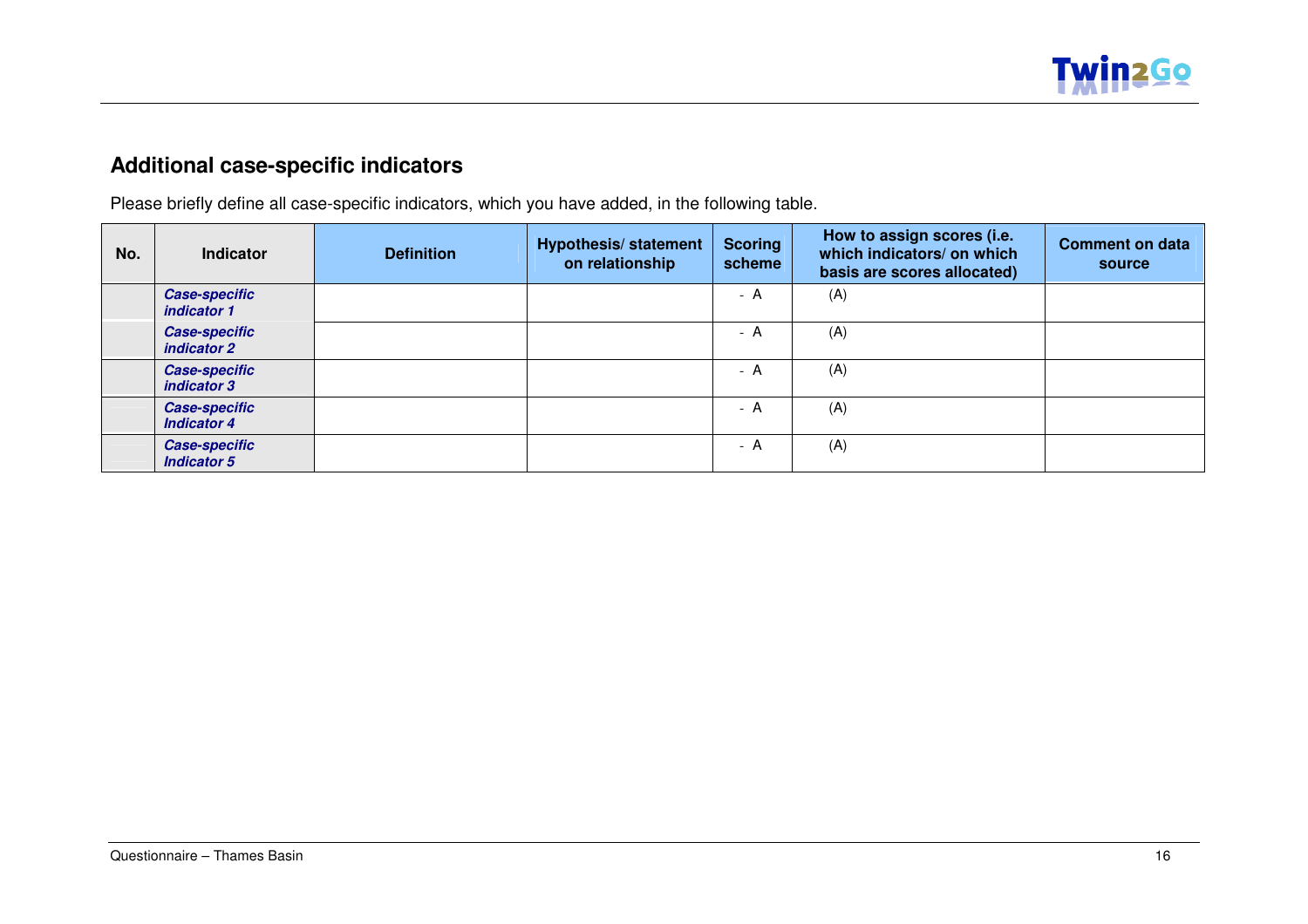

### **Additional case-specific indicators**

 $\overline{\phantom{a}}$ 

 $\sim$ 

Please briefly define all case-specific indicators, which you have added, in the following table.

| No. | <b>Indicator</b>                           | <b>Definition</b> | <b>Hypothesis/statement</b><br>on relationship | <b>Scoring</b><br>scheme | How to assign scores (i.e.<br>which indicators/ on which<br>basis are scores allocated) | <b>Comment on data</b><br>source |
|-----|--------------------------------------------|-------------------|------------------------------------------------|--------------------------|-----------------------------------------------------------------------------------------|----------------------------------|
|     | <b>Case-specific</b><br>indicator 1        |                   |                                                | - A                      | (A)                                                                                     |                                  |
|     | <b>Case-specific</b><br>indicator 2        |                   |                                                | - A                      | (A)                                                                                     |                                  |
|     | <b>Case-specific</b><br>indicator 3        |                   |                                                | - A                      | (A)                                                                                     |                                  |
|     | <b>Case-specific</b><br><b>Indicator 4</b> |                   |                                                | - A                      | (A)                                                                                     |                                  |
|     | <b>Case-specific</b><br><b>Indicator 5</b> |                   |                                                | - A                      | (A)                                                                                     |                                  |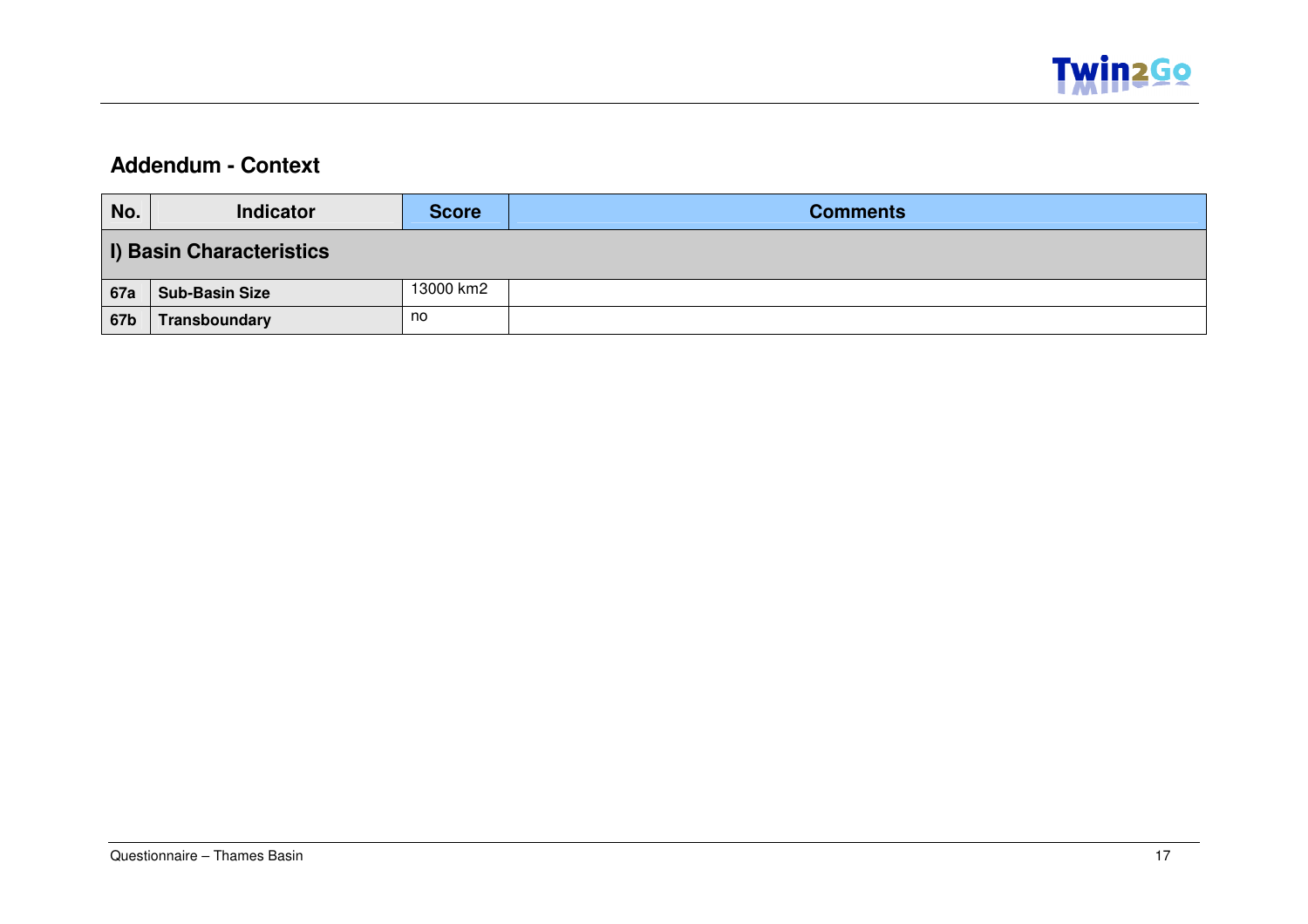

#### **Addendum - Context**

| No. | <b>Indicator</b>                | Score     | <b>Comments</b> |  |  |  |
|-----|---------------------------------|-----------|-----------------|--|--|--|
|     | <b>I) Basin Characteristics</b> |           |                 |  |  |  |
| 67a | <b>Sub-Basin Size</b>           | 13000 km2 |                 |  |  |  |
| 67b | Transboundary                   | no        |                 |  |  |  |